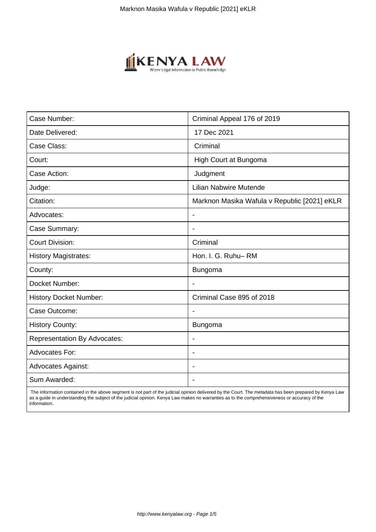

| Case Number:                        | Criminal Appeal 176 of 2019                  |
|-------------------------------------|----------------------------------------------|
| Date Delivered:                     | 17 Dec 2021                                  |
| Case Class:                         | Criminal                                     |
| Court:                              | High Court at Bungoma                        |
| Case Action:                        | Judgment                                     |
| Judge:                              | Lilian Nabwire Mutende                       |
| Citation:                           | Marknon Masika Wafula v Republic [2021] eKLR |
| Advocates:                          | $\blacksquare$                               |
| Case Summary:                       | $\blacksquare$                               |
| <b>Court Division:</b>              | Criminal                                     |
| <b>History Magistrates:</b>         | Hon. I. G. Ruhu-RM                           |
| County:                             | Bungoma                                      |
| Docket Number:                      |                                              |
| <b>History Docket Number:</b>       | Criminal Case 895 of 2018                    |
| Case Outcome:                       | $\overline{\phantom{a}}$                     |
| <b>History County:</b>              | <b>Bungoma</b>                               |
| <b>Representation By Advocates:</b> | $\blacksquare$                               |
| <b>Advocates For:</b>               | $\overline{\phantom{0}}$                     |
| <b>Advocates Against:</b>           |                                              |
| Sum Awarded:                        |                                              |

 The information contained in the above segment is not part of the judicial opinion delivered by the Court. The metadata has been prepared by Kenya Law as a guide in understanding the subject of the judicial opinion. Kenya Law makes no warranties as to the comprehensiveness or accuracy of the information.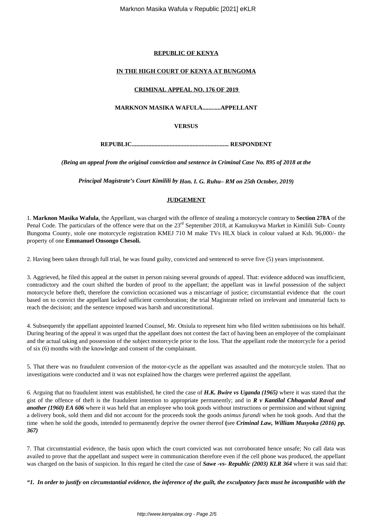### **REPUBLIC OF KENYA**

## **IN THE HIGH COURT OF KENYA AT BUNGOMA**

### **CRIMINAL APPEAL NO. 176 OF 2019**

# **MARKNON MASIKA WAFULA............APPELLANT**

**VERSUS**

**REPUBLIC................................................................ RESPONDENT**

*(Being an appeal from the original conviction and sentence in Criminal Case No. 895 of 2018 at the*

*Principal Magistrate's Court Kimilili by Hon. I. G. Ruhu– RM on 25th October, 2019)*

# **JUDGEMENT**

1. **Marknon Masika Wafula**, the Appellant, was charged with the offence of stealing a motorcycle contrary to **Section 278A** of the Penal Code. The particulars of the offence were that on the 23<sup>rd</sup> September 2018, at Kamukuywa Market in Kimilili Sub- County Bungoma County, stole one motorcycle registration KMEJ 710 M make TVs HLX black in colour valued at Ksh. 96,000/- the property of one **Emmanuel Onsongo Chesoli.**

2. Having been taken through full trial, he was found guilty, convicted and sentenced to serve five (5) years imprisonment.

3. Aggrieved, he filed this appeal at the outset in person raising several grounds of appeal. That: evidence adduced was insufficient, contradictory and the court shifted the burden of proof to the appellant; the appellant was in lawful possession of the subject motorcycle before theft, therefore the conviction occasioned was a miscarriage of justice; circumstantial evidence that the court based on to convict the appellant lacked sufficient corroboration; the trial Magistrate relied on irrelevant and immaterial facts to reach the decision; and the sentence imposed was harsh and unconstitutional.

4. Subsequently the appellant appointed learned Counsel, Mr. Otsiula to represent him who filed written submissions on his behalf. During hearing of the appeal it was urged that the appellant does not contest the fact of having been an employee of the complainant and the actual taking and possession of the subject motorcycle prior to the loss. That the appellant rode the motorcycle for a period of six (6) months with the knowledge and consent of the complainant.

5. That there was no fraudulent conversion of the motor-cycle as the appellant was assaulted and the motorcycle stolen. That no investigations were conducted and it was not explained how the charges were preferred against the appellant.

*6.* Arguing that no fraudulent intent was established, he cited the case of *H.K. Bwire vs Uganda (1965)* where it was stated that the gist of the offence of theft is the fraudulent intention to appropriate permanently; and in *R v Kantilal Chhaganlal Raval and another (1960) EA 606* where it was held that an employee who took goods without instructions or permission and without signing a delivery book, sold them and did not account for the proceeds took the goods *animus furandi* when he took goods. And that the time when he sold the goods, intended to permanently deprive the owner thereof **(**see *Criminal Law, William Musyoka (2016) pp. 367)*

7. That circumstantial evidence, the basis upon which the court convicted was not corroborated hence unsafe; No call data was availed to prove that the appellant and suspect were in communication therefore even if the cell phone was produced, the appellant was charged on the basis of suspicion. In this regard he cited the case of *Sawe -vs- Republic (2003) KLR 364* where it was said that:

*"1. In order to justify on circumstantial evidence, the inference of the guilt, the exculpatory facts must be incompatible with the*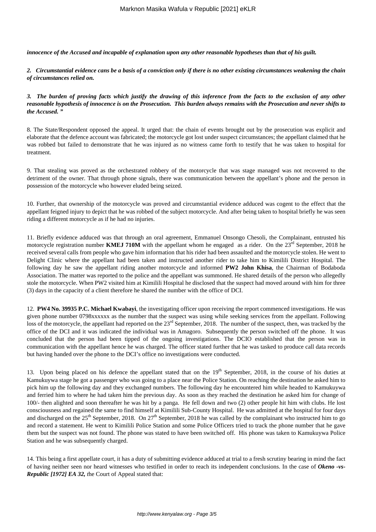*innocence of the Accused and incapable of explanation upon any other reasonable hypotheses than that of his guilt.* 

*2. Circumstantial evidence cans be a basis of a conviction only if there is no other existing circumstances weakening the chain of circumstances relied on.*

*3. The burden of proving facts which justify the drawing of this inference from the facts to the exclusion of any other reasonable hypothesis of innocence is on the Prosecution. This burden always remains with the Prosecution and never shifts to the Accused. "*

8. The State/Respondent opposed the appeal. It urged that: the chain of events brought out by the prosecution was explicit and elaborate that the defence account was fabricated; the motorcycle got lost under suspect circumstances; the appellant claimed that he was robbed but failed to demonstrate that he was injured as no witness came forth to testify that he was taken to hospital for treatment.

9. That stealing was proved as the orchestrated robbery of the motorcycle that was stage managed was not recovered to the detriment of the owner. That through phone signals, there was communication between the appellant's phone and the person in possession of the motorcycle who however eluded being seized.

10. Further, that ownership of the motorcycle was proved and circumstantial evidence adduced was cogent to the effect that the appellant feigned injury to depict that he was robbed of the subject motorcycle. And after being taken to hospital briefly he was seen riding a different motorcycle as if he had no injuries.

11. Briefly evidence adduced was that through an oral agreement, Emmanuel Onsongo Chesoli, the Complainant, entrusted his motorcycle registration number **KMEJ 710M** with the appellant whom he engaged as a rider. On the  $23^{rd}$  September, 2018 he received several calls from people who gave him information that his rider had been assaulted and the motorcycle stolen. He went to Delight Clinic where the appellant had been taken and instructed another rider to take him to Kimilili District Hospital. The following day he saw the appellant riding another motorcycle and informed **PW2 John Khisa**, the Chairman of Bodaboda Association. The matter was reported to the police and the appellant was summoned. He shared details of the person who allegedly stole the motorcycle. When PW2 visited him at Kimilili Hospital he disclosed that the suspect had moved around with him for three (3) days in the capacity of a client therefore he shared the number with the office of DCI.

12. **PW4 No. 39935 P.C. Michael Kwabayi**, the investigating officer upon receiving the report commenced investigations. He was given phone number 0798xxxxxx as the number that the suspect was using while seeking services from the appellant. Following loss of the motorcycle, the appellant had reported on the 23<sup>rd</sup> September, 2018. The number of the suspect, then, was tracked by the office of the DCI and it was indicated the individual was in Amagoro. Subsequently the person switched off the phone. It was concluded that the person had been tipped of the ongoing investigations. The DCIO established that the person was in communication with the appellant hence he was charged. The officer stated further that he was tasked to produce call data records but having handed over the phone to the DCI's office no investigations were conducted.

13. Upon being placed on his defence the appellant stated that on the  $19<sup>th</sup>$  September, 2018, in the course of his duties at Kamukuywa stage he got a passenger who was going to a place near the Police Station. On reaching the destination he asked him to pick him up the following day and they exchanged numbers. The following day he encountered him while headed to Kamukuywa and ferried him to where he had taken him the previous day. As soon as they reached the destination he asked him for change of 100/- then alighted and soon thereafter he was hit by a panga. He fell down and two (2) other people hit him with clubs. He lost consciousness and regained the same to find himself at Kimilili Sub-County Hospital. He was admitted at the hospital for four days and discharged on the  $25<sup>th</sup>$  September, 2018. On  $27<sup>th</sup>$  September, 2018 he was called by the complainant who instructed him to go and record a statement. He went to Kimilili Police Station and some Police Officers tried to track the phone number that he gave them but the suspect was not found. The phone was stated to have been switched off. His phone was taken to Kamukuywa Police Station and he was subsequently charged.

14. This being a first appellate court, it has a duty of submitting evidence adduced at trial to a fresh scrutiny bearing in mind the fact of having neither seen nor heard witnesses who testified in order to reach its independent conclusions. In the case of *Okeno -vs-Republic [1972] EA 32, t*he Court of Appeal stated that: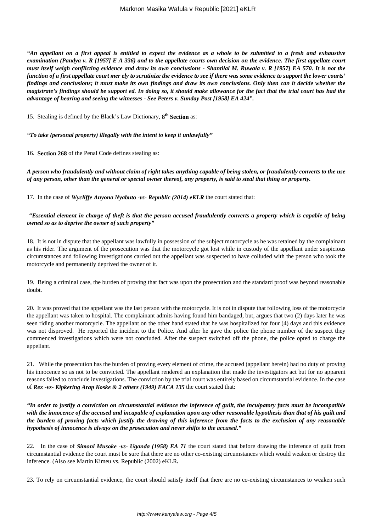*"An appellant on a first appeal is entitled to expect the evidence as a whole to be submitted to a fresh and exhaustive examination (Pandya v. R [1957] E A 336) and to the appellate courts own decision on the evidence. The first appellate court must itself weigh conflicting evidence and draw its own conclusions - Shantilal M. Ruwala v. R [1957] EA 570. It is not the function of a first appellate court mer ely to scrutinize the evidence to see if there was some evidence to support the lower courts' findings and conclusions; it must make its own findings and draw its own conclusions. Only then can it decide whether the magistrate's findings should be support ed. In doing so, it should make allowance for the fact that the trial court has had the advantage of hearing and seeing the witnesses - See Peters v. Sunday Post [1958] EA 424".* 

15. Stealing is defined by the Black's Law Dictionary, **8 th Section** as:

*"To take (personal property) illegally with the intent to keep it unlawfully"*

16. **Section 268** of the Penal Code defines stealing as:

*A person who fraudulently and without claim of right takes anything capable of being stolen, or fraudulently converts to the use of any person, other than the general or special owner thereof, any property, is said to steal that thing or property.*

17. In the case of *Wycliffe Anyona Nyabuto -vs- Republic (2014) eKLR* the court stated that:

#### *"Essential element in charge of theft is that the person accused fraudulently converts a property which is capable of being owned so as to deprive the owner of such property"*

18. It is not in dispute that the appellant was lawfully in possession of the subject motorcycle as he was retained by the complainant as his rider. The argument of the prosecution was that the motorcycle got lost while in custody of the appellant under suspicious circumstances and following investigations carried out the appellant was suspected to have colluded with the person who took the motorcycle and permanently deprived the owner of it.

19. Being a criminal case, the burden of proving that fact was upon the prosecution and the standard proof was beyond reasonable doubt.

20. It was proved that the appellant was the last person with the motorcycle. It is not in dispute that following loss of the motorcycle the appellant was taken to hospital. The complainant admits having found him bandaged, but, argues that two (2) days later he was seen riding another motorcycle. The appellant on the other hand stated that he was hospitalized for four (4) days and this evidence was not disproved. He reported the incident to the Police. And after he gave the police the phone number of the suspect they commenced investigations which were not concluded. After the suspect switched off the phone, the police opted to charge the appellant.

21. While the prosecution has the burden of proving every element of crime, the accused (appellant herein) had no duty of proving his innocence so as not to be convicted. The appellant rendered an explanation that made the investigators act but for no apparent reasons failed to conclude investigations. The conviction by the trial court was entirely based on circumstantial evidence. In the case of *Rex -vs- Kipkering Arap Koske & 2 others (1949) EACA 135* the court stated that:

*"In order to justify a conviction on circumstantial evidence the inference of guilt, the inculpatory facts must be incompatible with the innocence of the accused and incapable of explanation upon any other reasonable hypothesis than that of his guilt and the burden of proving facts which justify the drawing of this inference from the facts to the exclusion of any reasonable hypothesis of innocence is always on the prosecution and never shifts to the accused."*

22. In the case of *Simoni Musoke -vs- Uganda (1958) EA 71* the court stated that before drawing the inference of guilt from circumstantial evidence the court must be sure that there are no other co-existing circumstances which would weaken or destroy the inference. (Also see Martin Kimeu vs. Republic (2002) eKLR**.**

23. To rely on circumstantial evidence, the court should satisfy itself that there are no co-existing circumstances to weaken such